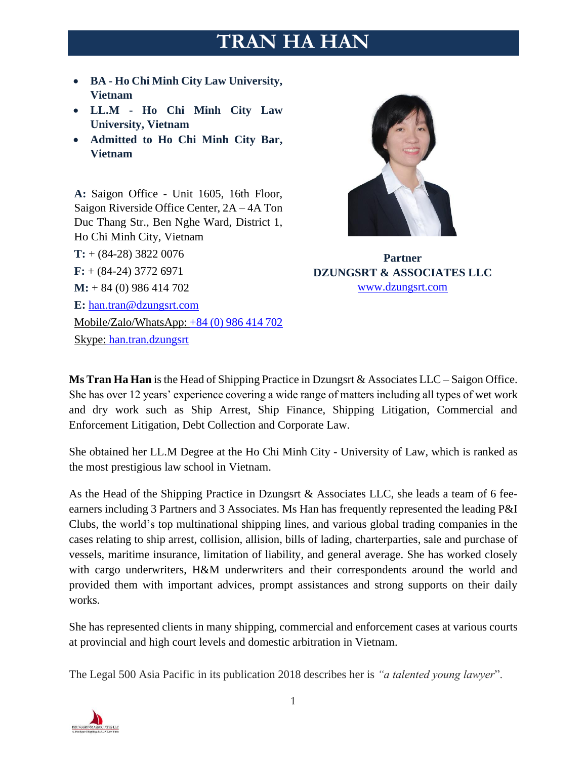# **TRAN HA HAN**

- **BA - Ho Chi Minh City Law University, Vietnam**
- **LL.M - Ho Chi Minh City Law University, Vietnam**
- **Admitted to Ho Chi Minh City Bar, Vietnam**

**A:** Saigon Office - Unit 1605, 16th Floor, Saigon Riverside Office Center, 2A – 4A Ton Duc Thang Str., Ben Nghe Ward, District 1, Ho Chi Minh City, Vietnam **T:** + (84-28) 3822 0076 **F:** + (84-24) 3772 6971 **M:** + 84 (0) 986 414 702 **E:** [han.tran@dzungsrt.com](mailto:han.tran@dzungsrt.com) Mobile/Zalo/WhatsApp: +84 (0) 986 414 702 Skype: han.tran.dzungsrt



**Partner DZUNGSRT & ASSOCIATES LLC** [www.dzungsrt.com](http://www.dzungsrt.com/)

**Ms Tran Ha Han** is the Head of Shipping Practice in Dzungsrt & Associates LLC – Saigon Office. She has over 12 years' experience covering a wide range of matters including all types of wet work and dry work such as Ship Arrest, Ship Finance, Shipping Litigation, Commercial and Enforcement Litigation, Debt Collection and Corporate Law.

She obtained her LL.M Degree at the Ho Chi Minh City - University of Law, which is ranked as the most prestigious law school in Vietnam.

As the Head of the Shipping Practice in Dzungsrt & Associates LLC, she leads a team of 6 feeearners including 3 Partners and 3 Associates. Ms Han has frequently represented the leading P&I Clubs, the world's top multinational shipping lines, and various global trading companies in the cases relating to ship arrest, collision, allision, bills of lading, charterparties, sale and purchase of vessels, maritime insurance, limitation of liability, and general average. She has worked closely with cargo underwriters, H&M underwriters and their correspondents around the world and provided them with important advices, prompt assistances and strong supports on their daily works.

She has represented clients in many shipping, commercial and enforcement cases at various courts at provincial and high court levels and domestic arbitration in Vietnam.

The Legal 500 Asia Pacific in its publication 2018 describes her is *"a talented young lawyer*".

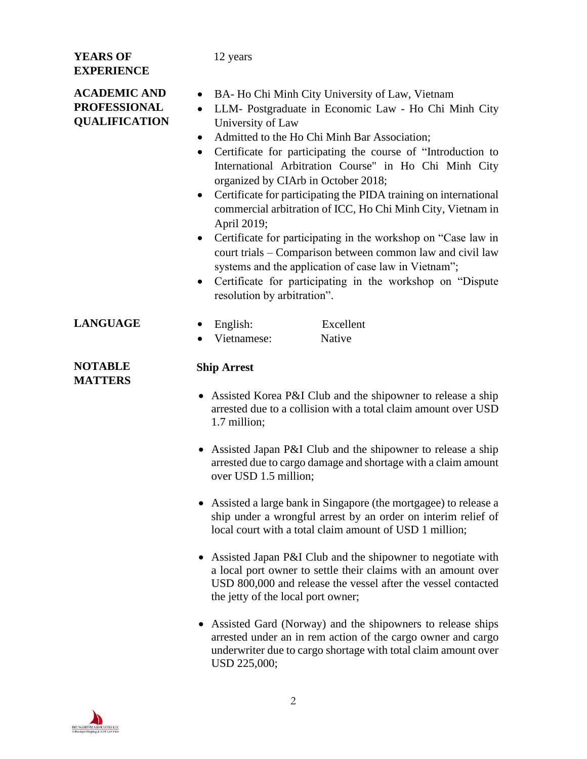#### **YEARS OF EXPERIENCE**

12 years

**ACADEMIC AND** 

## **PROFESSIONAL QUALIFICATION**

- BA- Ho Chi Minh City University of Law, Vietnam
- LLM- Postgraduate in Economic Law Ho Chi Minh City University of Law
- Admitted to the Ho Chi Minh Bar Association;
- Certificate for participating the course of "Introduction to International Arbitration Course" in Ho Chi Minh City organized by CIArb in October 2018;
- Certificate for participating the PIDA training on international commercial arbitration of ICC, Ho Chi Minh City, Vietnam in April 2019;
- Certificate for participating in the workshop on "Case law in court trials – Comparison between common law and civil law systems and the application of case law in Vietnam";
- Certificate for participating in the workshop on "Dispute resolution by arbitration".
- **LANGUAGE** English: Excellent

**Ship Arrest** 

• Vietnamese: Native

### **NOTABLE MATTERS**

- Assisted Korea P&I Club and the shipowner to release a ship arrested due to a collision with a total claim amount over USD 1.7 million;
- Assisted Japan P&I Club and the shipowner to release a ship arrested due to cargo damage and shortage with a claim amount over USD 1.5 million;
- Assisted a large bank in Singapore (the mortgagee) to release a ship under a wrongful arrest by an order on interim relief of local court with a total claim amount of USD 1 million;
- Assisted Japan P&I Club and the shipowner to negotiate with a local port owner to settle their claims with an amount over USD 800,000 and release the vessel after the vessel contacted the jetty of the local port owner;
- Assisted Gard (Norway) and the shipowners to release ships arrested under an in rem action of the cargo owner and cargo underwriter due to cargo shortage with total claim amount over USD 225,000;

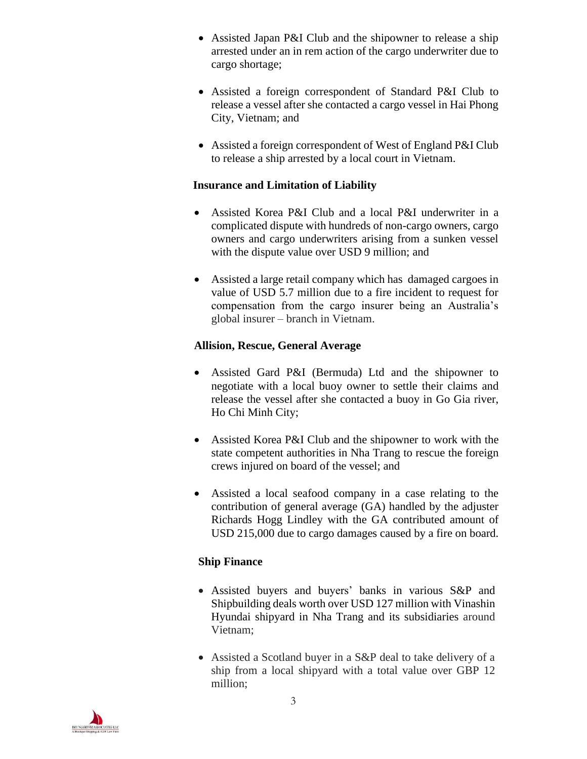- Assisted Japan P&I Club and the shipowner to release a ship arrested under an in rem action of the cargo underwriter due to cargo shortage;
- Assisted a foreign correspondent of Standard P&I Club to release a vessel after she contacted a cargo vessel in Hai Phong City, Vietnam; and
- Assisted a foreign correspondent of West of England P&I Club to release a ship arrested by a local court in Vietnam.

#### **Insurance and Limitation of Liability**

- Assisted Korea P&I Club and a local P&I underwriter in a complicated dispute with hundreds of non-cargo owners, cargo owners and cargo underwriters arising from a sunken vessel with the dispute value over USD 9 million; and
- Assisted a large retail company which has damaged cargoes in value of USD 5.7 million due to a fire incident to request for compensation from the cargo insurer being an Australia's global insurer – branch in Vietnam.

#### **Allision, Rescue, General Average**

- Assisted Gard P&I (Bermuda) Ltd and the shipowner to negotiate with a local buoy owner to settle their claims and release the vessel after she contacted a buoy in Go Gia river, Ho Chi Minh City;
- Assisted Korea P&I Club and the shipowner to work with the state competent authorities in Nha Trang to rescue the foreign crews injured on board of the vessel; and
- Assisted a local seafood company in a case relating to the contribution of general average (GA) handled by the adjuster Richards Hogg Lindley with the GA contributed amount of USD 215,000 due to cargo damages caused by a fire on board.

#### **Ship Finance**

- Assisted buyers and buyers' banks in various S&P and Shipbuilding deals worth over USD 127 million with Vinashin Hyundai shipyard in Nha Trang and its subsidiaries around Vietnam;
- Assisted a Scotland buyer in a S&P deal to take delivery of a ship from a local shipyard with a total value over GBP 12 million;

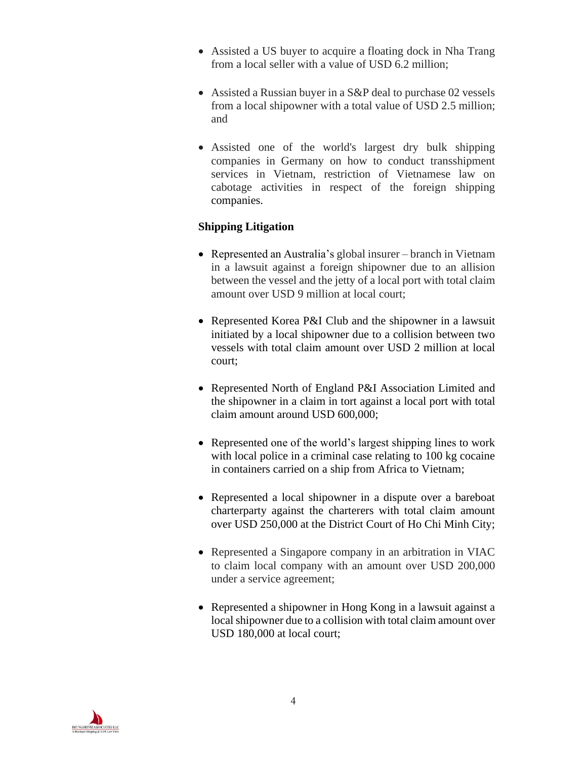- Assisted a US buyer to acquire a floating dock in Nha Trang from a local seller with a value of USD 6.2 million;
- Assisted a Russian buyer in a S&P deal to purchase 02 vessels from a local shipowner with a total value of USD 2.5 million; and
- Assisted one of the world's largest dry bulk shipping companies in Germany on how to conduct transshipment services in Vietnam, restriction of Vietnamese law on cabotage activities in respect of the foreign shipping companies.

#### **Shipping Litigation**

- Represented an Australia's global insurer branch in Vietnam in a lawsuit against a foreign shipowner due to an allision between the vessel and the jetty of a local port with total claim amount over USD 9 million at local court;
- Represented Korea P&I Club and the shipowner in a lawsuit initiated by a local shipowner due to a collision between two vessels with total claim amount over USD 2 million at local court;
- Represented North of England P&I Association Limited and the shipowner in a claim in tort against a local port with total claim amount around USD 600,000;
- Represented one of the world's largest shipping lines to work with local police in a criminal case relating to 100 kg cocaine in containers carried on a ship from Africa to Vietnam;
- Represented a local shipowner in a dispute over a bareboat charterparty against the charterers with total claim amount over USD 250,000 at the District Court of Ho Chi Minh City;
- Represented a Singapore company in an arbitration in VIAC to claim local company with an amount over USD 200,000 under a service agreement;
- Represented a shipowner in Hong Kong in a lawsuit against a local shipowner due to a collision with total claim amount over USD 180,000 at local court;

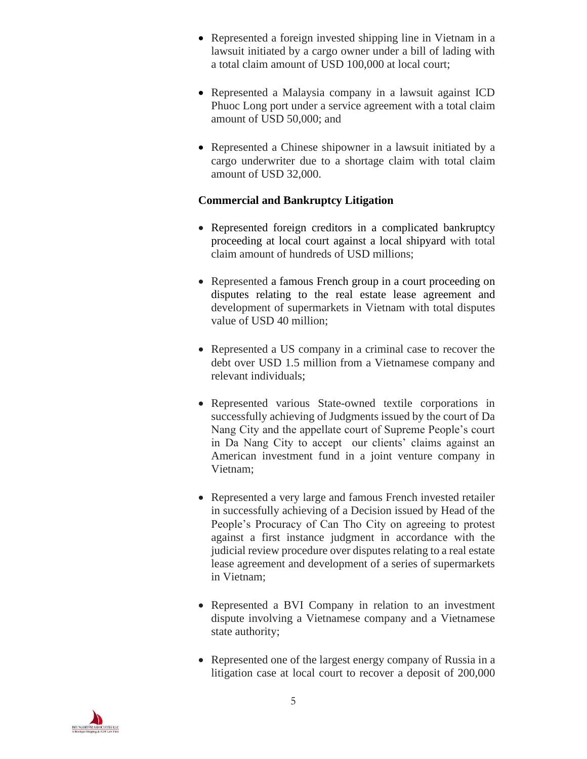- Represented a foreign invested shipping line in Vietnam in a lawsuit initiated by a cargo owner under a bill of lading with a total claim amount of USD 100,000 at local court;
- Represented a Malaysia company in a lawsuit against ICD Phuoc Long port under a service agreement with a total claim amount of USD 50,000; and
- Represented a Chinese shipowner in a lawsuit initiated by a cargo underwriter due to a shortage claim with total claim amount of USD 32,000.

#### **Commercial and Bankruptcy Litigation**

- Represented foreign creditors in a complicated bankruptcy proceeding at local court against a local shipyard with total claim amount of hundreds of USD millions;
- Represented a famous French group in a court proceeding on disputes relating to the real estate lease agreement and development of supermarkets in Vietnam with total disputes value of USD 40 million;
- Represented a US company in a criminal case to recover the debt over USD 1.5 million from a Vietnamese company and relevant individuals;
- Represented various State-owned textile corporations in successfully achieving of Judgments issued by the court of Da Nang City and the appellate court of Supreme People's court in Da Nang City to accept our clients' claims against an American investment fund in a joint venture company in Vietnam;
- Represented a very large and famous French invested retailer in successfully achieving of a Decision issued by Head of the People's Procuracy of Can Tho City on agreeing to protest against a first instance judgment in accordance with the judicial review procedure over disputes relating to a real estate lease agreement and development of a series of supermarkets in Vietnam;
- Represented a BVI Company in relation to an investment dispute involving a Vietnamese company and a Vietnamese state authority;
- Represented one of the largest energy company of Russia in a litigation case at local court to recover a deposit of 200,000

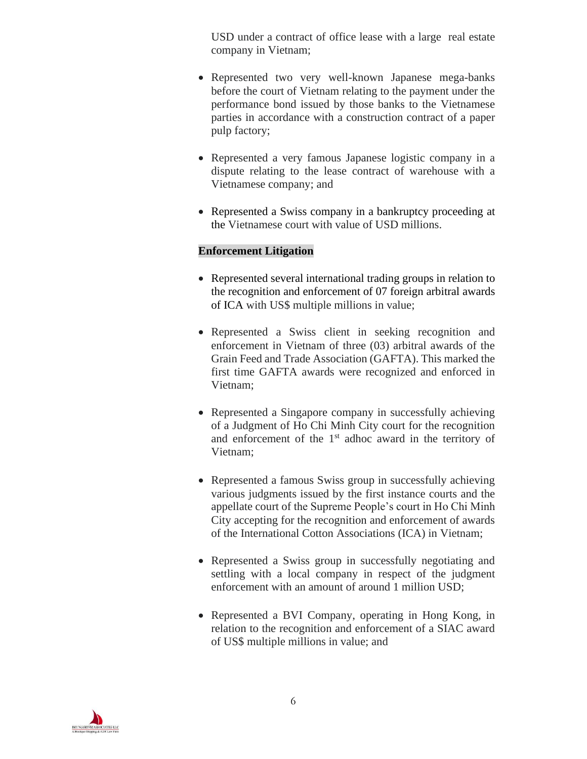USD under a contract of office lease with a large real estate company in Vietnam;

- Represented two very well-known Japanese mega-banks before the court of Vietnam relating to the payment under the performance bond issued by those banks to the Vietnamese parties in accordance with a construction contract of a paper pulp factory;
- Represented a very famous Japanese logistic company in a dispute relating to the lease contract of warehouse with a Vietnamese company; and
- Represented a Swiss company in a bankruptcy proceeding at the Vietnamese court with value of USD millions.

#### **Enforcement Litigation**

- Represented several international trading groups in relation to the recognition and enforcement of 07 foreign arbitral awards of ICA with US\$ multiple millions in value;
- Represented a Swiss client in seeking recognition and enforcement in Vietnam of three (03) arbitral awards of the Grain Feed and Trade Association (GAFTA). This marked the first time GAFTA awards were recognized and enforced in Vietnam;
- Represented a Singapore company in successfully achieving of a Judgment of Ho Chi Minh City court for the recognition and enforcement of the  $1<sup>st</sup>$  adhoc award in the territory of Vietnam;
- Represented a famous Swiss group in successfully achieving various judgments issued by the first instance courts and the appellate court of the Supreme People's court in Ho Chi Minh City accepting for the recognition and enforcement of awards of the International Cotton Associations (ICA) in Vietnam;
- Represented a Swiss group in successfully negotiating and settling with a local company in respect of the judgment enforcement with an amount of around 1 million USD;
- Represented a BVI Company, operating in Hong Kong, in relation to the recognition and enforcement of a SIAC award of US\$ multiple millions in value; and

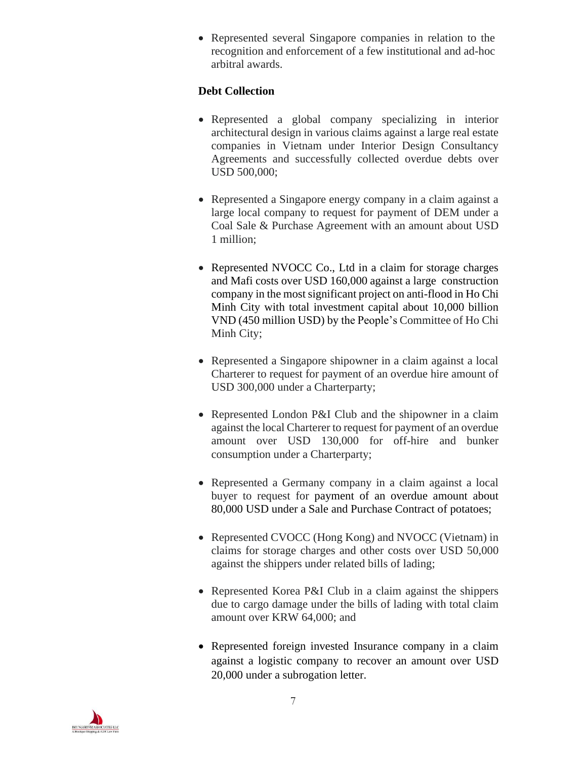• Represented several Singapore companies in relation to the recognition and enforcement of a few institutional and ad-hoc arbitral awards.

#### **Debt Collection**

- Represented a global company specializing in interior architectural design in various claims against a large real estate companies in Vietnam under Interior Design Consultancy Agreements and successfully collected overdue debts over USD 500,000;
- Represented a Singapore energy company in a claim against a large local company to request for payment of DEM under a Coal Sale & Purchase Agreement with an amount about USD 1 million;
- Represented NVOCC Co., Ltd in a claim for storage charges and Mafi costs over USD 160,000 against a large construction company in the most significant project on anti-flood in Ho Chi Minh City with total investment capital about 10,000 billion VND (450 million USD) by the People's Committee of Ho Chi Minh City;
- Represented a Singapore shipowner in a claim against a local Charterer to request for payment of an overdue hire amount of USD 300,000 under a Charterparty;
- Represented London P&I Club and the shipowner in a claim against the local Charterer to request for payment of an overdue amount over USD 130,000 for off-hire and bunker consumption under a Charterparty;
- Represented a Germany company in a claim against a local buyer to request for payment of an overdue amount about 80,000 USD under a Sale and Purchase Contract of potatoes;
- Represented CVOCC (Hong Kong) and NVOCC (Vietnam) in claims for storage charges and other costs over USD 50,000 against the shippers under related bills of lading;
- Represented Korea P&I Club in a claim against the shippers due to cargo damage under the bills of lading with total claim amount over KRW 64,000; and
- Represented foreign invested Insurance company in a claim against a logistic company to recover an amount over USD 20,000 under a subrogation letter.